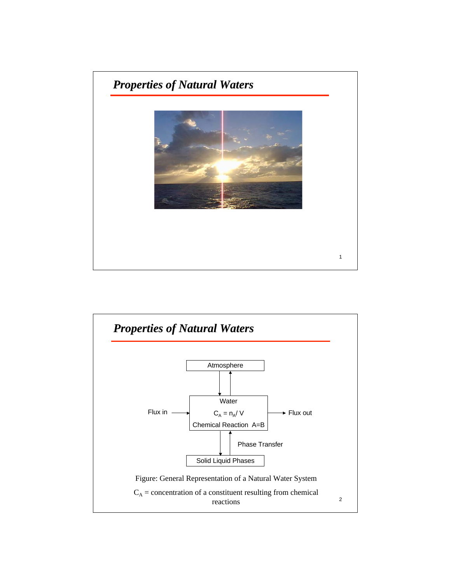

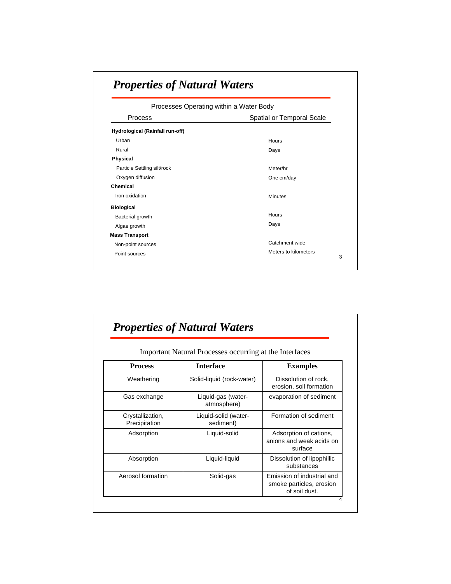| Processes Operating within a Water Body |                           |  |
|-----------------------------------------|---------------------------|--|
| Process                                 | Spatial or Temporal Scale |  |
| Hydrological (Rainfall run-off)         |                           |  |
| Urban                                   | Hours                     |  |
| Rural                                   | Days                      |  |
| <b>Physical</b>                         |                           |  |
| Particle Settling silt/rock             | Meter/hr                  |  |
| Oxygen diffusion                        | One cm/day                |  |
| Chemical                                |                           |  |
| Iron oxidation                          | <b>Minutes</b>            |  |
| <b>Biological</b>                       |                           |  |
| Bacterial growth                        | <b>Hours</b>              |  |
| Algae growth                            | Days                      |  |
| <b>Mass Transport</b>                   |                           |  |
| Non-point sources                       | Catchment wide            |  |
| Point sources                           | Meters to kilometers      |  |

| Important Natural Processes occurring at the Interfaces |                                   |                                                                         |
|---------------------------------------------------------|-----------------------------------|-------------------------------------------------------------------------|
| <b>Process</b>                                          | <b>Interface</b>                  | <b>Examples</b>                                                         |
| Weathering                                              | Solid-liquid (rock-water)         | Dissolution of rock,<br>erosion, soil formation                         |
| Gas exchange                                            | Liquid-gas (water-<br>atmosphere) | evaporation of sediment                                                 |
| Crystallization,<br>Precipitation                       | Liquid-solid (water-<br>sediment) | Formation of sediment                                                   |
| Adsorption                                              | Liquid-solid                      | Adsorption of cations,<br>anions and weak acids on<br>surface           |
| Absorption                                              | Liquid-liquid                     | Dissolution of lipophillic<br>substances                                |
| Aerosol formation                                       | Solid-gas                         | Emission of industrial and<br>smoke particles, erosion<br>of soil dust. |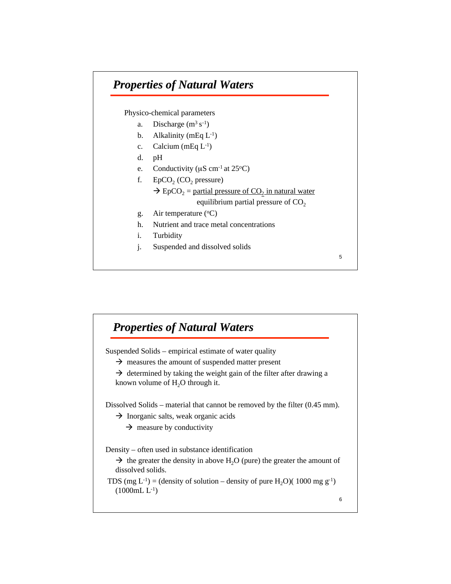Physico-chemical parameters

- a. Discharge  $(m^3 s^{-1})$
- b. Alkalinity (mEq  $L^{-1}$ )
- c. Calcium (mEq  $L^{-1}$ )
- d. pH
- e. Conductivity ( $\mu$ S cm<sup>-1</sup> at 25<sup>o</sup>C)
- f.  $EpCO<sub>2</sub> (CO<sub>2</sub> pressure)$  $\rightarrow$  EpCO<sub>2</sub> = partial pressure of CO<sub>2</sub> in natural water equilibrium partial pressure of  $CO<sub>2</sub>$

5

- g. Air temperature  $({}^{\circ}C)$
- h. Nutrient and trace metal concentrations
- i. Turbidity
- j. Suspended and dissolved solids

6 Suspended Solids – empirical estimate of water quality  $\rightarrow$  measures the amount of suspended matter present  $\rightarrow$  determined by taking the weight gain of the filter after drawing a known volume of  $H_2O$  through it. Dissolved Solids – material that cannot be removed by the filter (0.45 mm). → Inorganic salts, weak organic acids  $\rightarrow$  measure by conductivity Density – often used in substance identification  $\rightarrow$  the greater the density in above H<sub>2</sub>O (pure) the greater the amount of dissolved solids. TDS (mg L<sup>-1</sup>) = (density of solution – density of pure H<sub>2</sub>O)( 1000 mg g<sup>-1</sup>)  $(1000mL L^{-1})$ *Properties of Natural Waters Properties of Natural Waters*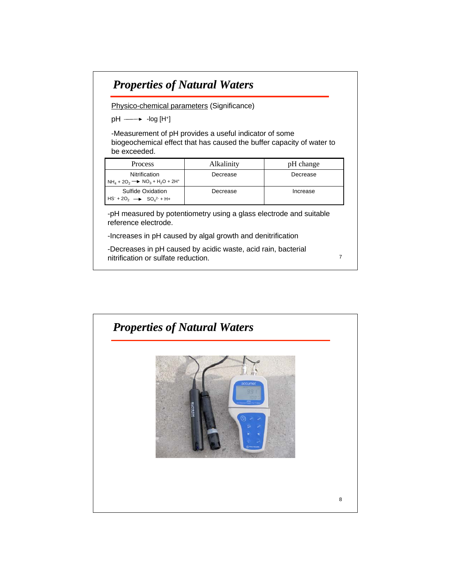Physico-chemical parameters (Significance)

 $pH \longrightarrow$  -log [H+]

-Measurement of pH provides a useful indicator of some biogeochemical effect that has caused the buffer capacity of water to be exceeded.

| <b>Process</b>                                                  | Alkalinity | pH change |
|-----------------------------------------------------------------|------------|-----------|
| Nitrification<br>$NH4 + 2O2$ $\rightarrow$ $NO3 + H2O + 2H+$    | Decrease   | Decrease  |
| Sulfide Oxidation<br>$HS+ + 2O2$ $\longrightarrow$ $SO42+ + H+$ | Decrease   | Increase  |

-pH measured by potentiometry using a glass electrode and suitable reference electrode.

7

-Increases in pH caused by algal growth and denitrification

-Decreases in pH caused by acidic waste, acid rain, bacterial nitrification or sulfate reduction.

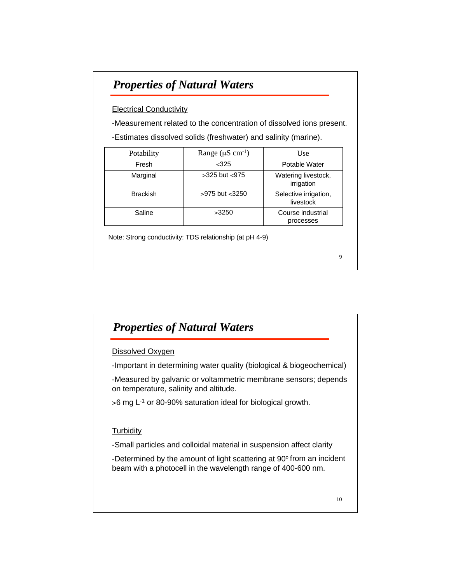#### **Electrical Conductivity**

-Measurement related to the concentration of dissolved ions present. -Estimates dissolved solids (freshwater) and salinity (marine).

| Potability      | Range ( $\mu$ S cm <sup>-1</sup> ) | Use                                |
|-----------------|------------------------------------|------------------------------------|
| Fresh           | $<$ 325                            | Potable Water                      |
| Marginal        | $>325$ but $< 975$                 | Watering livestock,<br>irrigation  |
| <b>Brackish</b> | $>975$ but $<$ 3250                | Selective irrigation,<br>livestock |
| Saline          | >3250                              | Course industrial<br>processes     |

Note: Strong conductivity: TDS relationship (at pH 4-9)

## *Properties of Natural Waters Properties of Natural Waters*

#### Dissolved Oxygen

-Important in determining water quality (biological & biogeochemical)

-Measured by galvanic or voltammetric membrane sensors; depends on temperature, salinity and altitude.

 $>6$  mg  $L^{-1}$  or 80-90% saturation ideal for biological growth.

#### **Turbidity**

-Small particles and colloidal material in suspension affect clarity

-Determined by the amount of light scattering at 90° from an incident beam with a photocell in the wavelength range of 400-600 nm.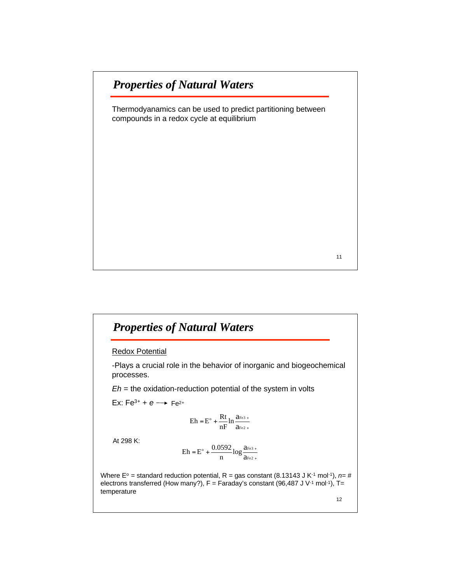Thermodyanamics can be used to predict partitioning between compounds in a redox cycle at equilibrium

11

## *Properties of Natural Waters Properties of Natural Waters*

#### Redox Potential

-Plays a crucial role in the behavior of inorganic and biogeochemical processes.

*Eh* = the oxidation-reduction potential of the system in volts

Ex:  $Fe^{3+} + e \rightarrow Fe^{2+}$ 

$$
Eh = E^\circ + \frac{Rt}{nF} \ln \frac{a_{Fe3+}}{a_{Fe2+}}
$$

At 298 K:

$$
E h = E^{\circ} + \frac{0.0592}{n} log \frac{a_{Fe3}}{a_{Fe2}} +
$$

Where E<sup>o</sup> = standard reduction potential, R = gas constant (8.13143 J K<sup>-1</sup> mol<sup>-1</sup>),  $n=#$ electrons transferred (How many?),  $F =$  Faraday's constant (96,487 J V<sup>-1</sup> mol<sup>-1</sup>), T= temperature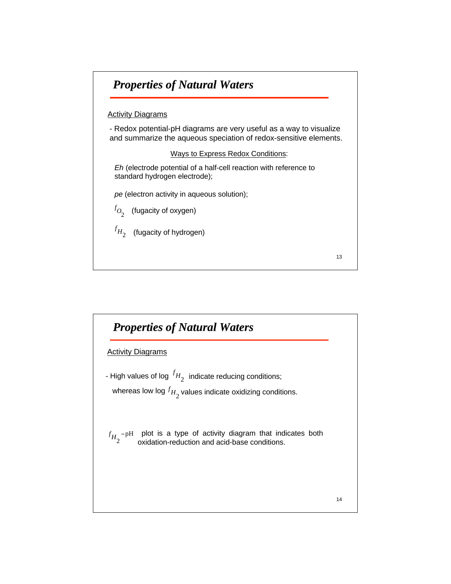

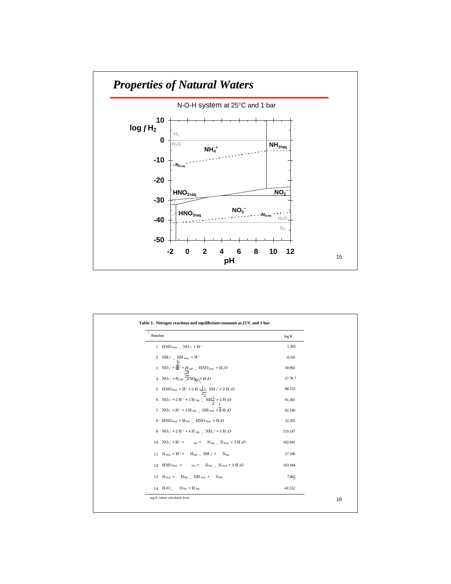

| Reaction                                                                                                                                                                                                                                                                                                                                        | log K     |
|-------------------------------------------------------------------------------------------------------------------------------------------------------------------------------------------------------------------------------------------------------------------------------------------------------------------------------------------------|-----------|
| 1 HNO <sub>3(aq)</sub> _ NO <sub>3</sub> <sup>-</sup> + H <sup>+</sup>                                                                                                                                                                                                                                                                          | 1.303     |
| $2$ NH <sub>4</sub> <sup>+</sup> _ NH <sub>3(aq)</sub> + H <sup>+</sup>                                                                                                                                                                                                                                                                         | $-9.241$  |
| $3 \quad \text{NO}_3 - +\frac{\frac{\mathsf{B}}{\mathsf{B}_2}}{2} + \frac{\mathsf{H}}{\mathsf{B}_2} \text{sgn} \; = \; \text{HNO}_\text{2000} \; + \; \text{H}_2 \text{O}$                                                                                                                                                                      | 30.992    |
| 4 NO <sub>3</sub> <sup>-+</sup> H <sub>2(g)</sub> $\frac{27}{2}$ NO <sub><math>\frac{27}{9}</math></sub> + H <sub>2</sub> O                                                                                                                                                                                                                     | 27.767    |
|                                                                                                                                                                                                                                                                                                                                                 | 88.155    |
| $\begin{aligned} 5\quad\text{HNO}_\text{20e0} + \text{H}^+ &+ 3\,\text{H}_\text{20}\textcolor{red}{\frac{1}{22}}\quad\text{NH}_\text{4}^+ + 2\,\text{H}_\text{2O}\\ 6\quad\text{NO}_\text{2}\text{--} + 2\,\text{H}_\text{2} + 3\,\text{H}_\text{200}\quad\text{--}\text{NH}_\text{2}^{\text{1}\text{+}} + 2\,\text{H}_\text{2O} \end{aligned}$ | 91.381    |
| 7 NO <sub>2</sub> <sup>-+</sup> H <sup>+</sup> +3 H <sub>2(e)</sub> _ NH <sub>3(aq)</sub> + $\frac{1}{2}$ H <sub>2</sub> O                                                                                                                                                                                                                      | 82.140    |
| 8 HNO 3(aq) + H $_{2(g)}$ _ HNO $_{2(aq)}$ + H $_{2}$ O                                                                                                                                                                                                                                                                                         | 32.295    |
| 9 NO <sub>3</sub> <sup>-+</sup> 2H <sup>+</sup> +4H <sub>2(k)</sub> _ NH <sub>4</sub> <sup>+</sup> +3H <sub>2</sub> O                                                                                                                                                                                                                           | 119.147   |
| 10 $NO_3^- + H^+ +  + 2(g) + N_{2(g)} - N_{2(gq)} + 3 H_2O$                                                                                                                                                                                                                                                                                     | 102.041   |
| 11 $N_{2(aq)} + H^+ + H_{2(g)}$ NH $_4^+$ + $N_{2(g)}$                                                                                                                                                                                                                                                                                          | 17.106    |
| 12 HNO 3(aq) + $2(g)$ + $N_{2(g)}$ _ $N_{2(aq)}$ + 3 H $_2O$                                                                                                                                                                                                                                                                                    | 103.344   |
| 13 $N_{2(aq)}$ + $H_{2(g)}$ $N_{13(aq)}$ + $N_{2(g)}$                                                                                                                                                                                                                                                                                           | 7.865     |
| 14 $H_2O$ $O_{2(g)}$ + $H_{2(g)}$                                                                                                                                                                                                                                                                                                               | $-41.552$ |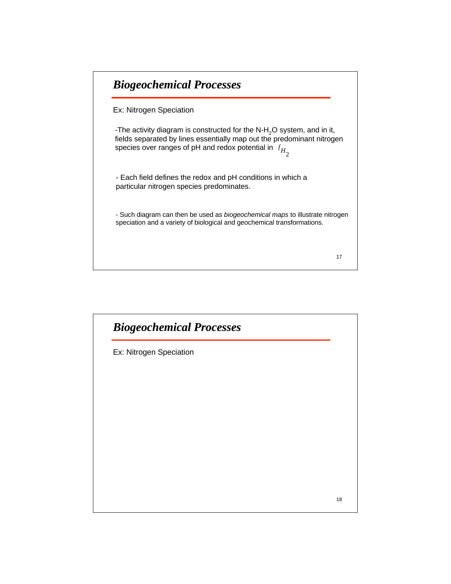# *Biogeochemical Processes Biogeochemical Processes*

Ex: Nitrogen Speciation

-The activity diagram is constructed for the  $N-H_2O$  system, and in it, fields separated by lines essentially map out the predominant nitrogen species over ranges of pH and redox potential in  $f_{H_{\c{2}}}$ 

- Each field defines the redox and pH conditions in which a particular nitrogen species predominates.

- Such diagram can then be used as *biogeochemical maps* to illustrate nitrogen speciation and a variety of biological and geochemical transformations.

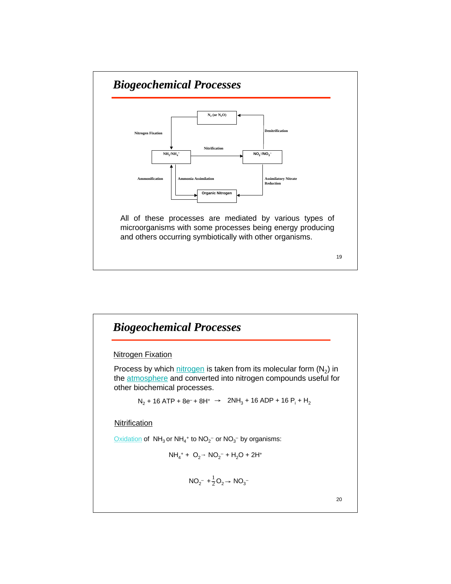

# 20 *Biogeochemical Processes Biogeochemical Processes* **Nitrogen Fixation** Process by which nitrogen is taken from its molecular form  $(N_2)$  in the **atmosphere** and converted into nitrogen compounds useful for other biochemical processes.  $N_{2}$  + 16 ATP + 8e− + 8H+  $\rightarrow$  2NH $_{3}$  + 16 ADP + 16 P $_{1}$  + H $_{2}$ **Nitrification**  $\overline{\text{Oxidation}}$  of NH<sub>3</sub> or NH<sub>4</sub><sup>+</sup> to NO<sub>2</sub><sup>-</sup> or NO<sub>3</sub><sup>-</sup> by organisms:  $NH_4^+ + O_2^{\rightharpoonup} \text{NO}_2^- + H_2O + 2H^+$  $NO_2^-$  +  $\frac{1}{2}O_2 \rightarrow NO_3^-$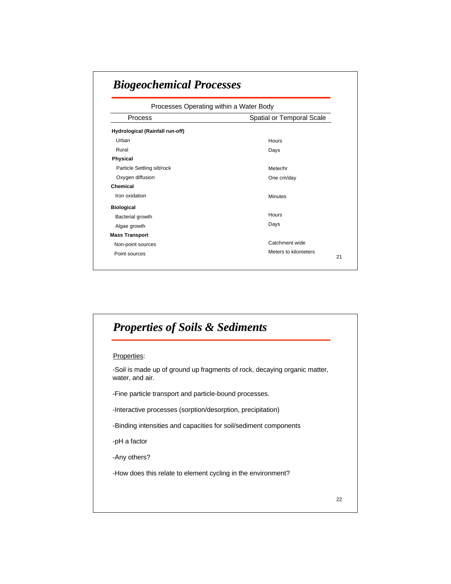| Processes Operating within a Water Body |                           |  |
|-----------------------------------------|---------------------------|--|
| <b>Process</b>                          | Spatial or Temporal Scale |  |
| Hydrological (Rainfall run-off)         |                           |  |
| Urban                                   | Hours                     |  |
| Rural                                   | Days                      |  |
| <b>Physical</b>                         |                           |  |
| Particle Settling silt/rock             | Meter/hr                  |  |
| Oxygen diffusion                        | One cm/day                |  |
| Chemical                                |                           |  |
| Iron oxidation                          | <b>Minutes</b>            |  |
| <b>Biological</b>                       |                           |  |
| Bacterial growth                        | Hours                     |  |
| Algae growth                            | Days                      |  |
| <b>Mass Transport</b>                   |                           |  |
| Non-point sources                       | Catchment wide            |  |
| Point sources                           | Meters to kilometers      |  |

# 22 *Properties of Soils & Sediments Properties of Soils & Sediments* Properties: -Soil is made up of ground up fragments of rock, decaying organic matter, water, and air. -Fine particle transport and particle-bound processes. -Interactive processes (sorption/desorption, precipitation) -Binding intensities and capacities for soil/sediment components -pH a factor -Any others? -How does this relate to element cycling in the environment?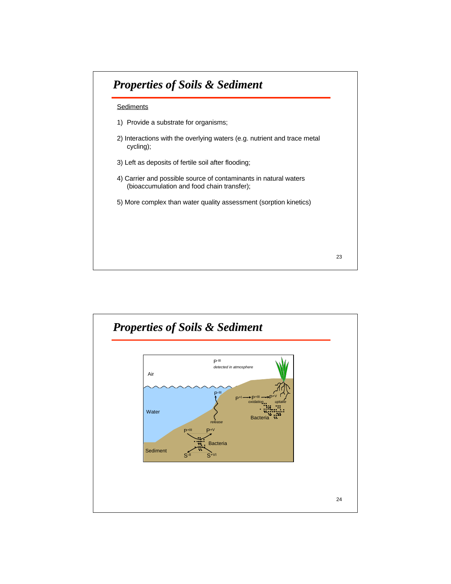